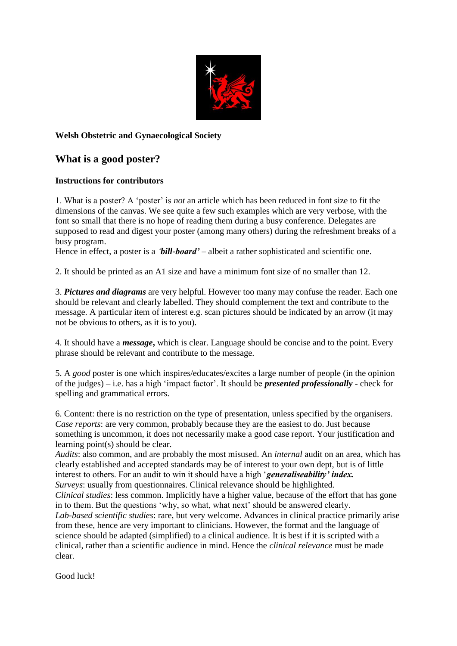

## **Welsh Obstetric and Gynaecological Society**

## **What is a good poster?**

## **Instructions for contributors**

1. What is a poster? A 'poster' is *not* an article which has been reduced in font size to fit the dimensions of the canvas. We see quite a few such examples which are very verbose, with the font so small that there is no hope of reading them during a busy conference. Delegates are supposed to read and digest your poster (among many others) during the refreshment breaks of a busy program.

Hence in effect, a poster is a '*bill-board'* – albeit a rather sophisticated and scientific one.

2. It should be printed as an A1 size and have a minimum font size of no smaller than 12.

3. *Pictures and diagrams* are very helpful. However too many may confuse the reader. Each one should be relevant and clearly labelled. They should complement the text and contribute to the message. A particular item of interest e.g. scan pictures should be indicated by an arrow (it may not be obvious to others, as it is to you).

4. It should have a *message***,** which is clear. Language should be concise and to the point. Every phrase should be relevant and contribute to the message.

5. A *good* poster is one which inspires/educates/excites a large number of people (in the opinion of the judges) – i.e. has a high 'impact factor'. It should be *presented professionally* - check for spelling and grammatical errors.

6. Content: there is no restriction on the type of presentation, unless specified by the organisers. *Case reports*: are very common, probably because they are the easiest to do. Just because something is uncommon, it does not necessarily make a good case report. Your justification and learning point(s) should be clear.

*Audits*: also common, and are probably the most misused. An *internal* audit on an area, which has clearly established and accepted standards may be of interest to your own dept, but is of little interest to others. For an audit to win it should have a high '*generaliseability' index. Surveys*: usually from questionnaires. Clinical relevance should be highlighted.

*Clinical studies*: less common. Implicitly have a higher value, because of the effort that has gone in to them. But the questions 'why, so what, what next' should be answered clearly.

*Lab-based scientific studies*: rare, but very welcome. Advances in clinical practice primarily arise from these, hence are very important to clinicians. However, the format and the language of science should be adapted (simplified) to a clinical audience. It is best if it is scripted with a clinical, rather than a scientific audience in mind. Hence the *clinical relevance* must be made clear.

Good luck!